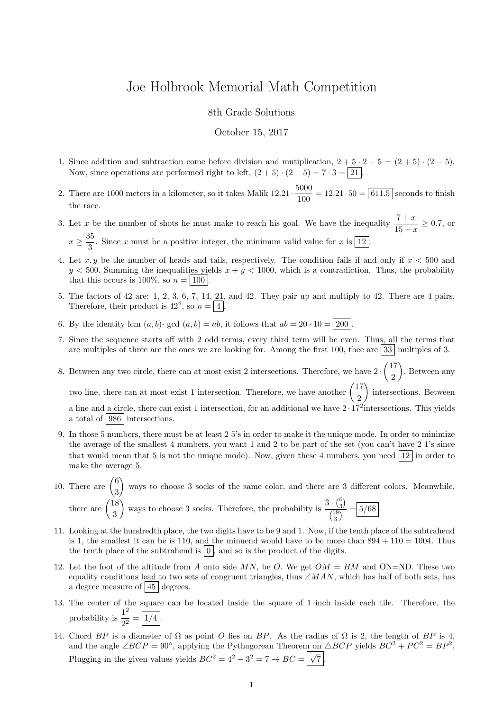## Joe Holbrook Memorial Math Competition

8th Grade Solutions

## October 15, 2017

- 1. Since addition and subtraction come before division and mutiplication,  $2 + 5 \cdot 2 5 = (2 + 5) \cdot (2 5)$ . Now, since operations are performed right to left,  $(2+5) \cdot (2-5) = 7 \cdot 3 = 21$ .
- 2. There are 1000 meters in a kilometer, so it takes Malik  $12.21 \cdot \frac{5000}{1000}$  $\frac{1000}{100}$  = 12.21 · 50 = 611.5 seconds to finish the race.
- 3. Let x be the number of shots he must make to reach his goal. We have the inequality  $\frac{7+x}{15+x} \ge 0.7$ , or  $x \geq \frac{35}{2}$  $\frac{3}{3}$ . Since x must be a positive integer, the minimum valid value for x is  $\boxed{12}$ .
- 4. Let x, y be the number of heads and tails, respectively. The condition fails if and only if  $x < 500$  and  $y < 500$ . Summing the inequalities yields  $x + y < 1000$ , which is a contradiction. Thus, the probability that this occurs is 100\%, so  $n = |100|$ .
- 5. The factors of 42 are: 1, 2, 3, 6, 7, 14, 21, and 42. They pair up and multiply to 42. There are 4 pairs. Therefore, their product is  $42^4$ , so  $n = \boxed{4}$ .
- 6. By the identity lcm  $(a, b)$  · gcd  $(a, b) = ab$ , it follows that  $ab = 20 \cdot 10 = 200$
- 7. Since the sequence starts off with 2 odd terms, every third term will be even. Thus, all the terms that are multiples of three are the ones we are looking for. Among the first 100, thee are  $33 \mid$  multiples of 3.
- 8. Between any two circle, there can at most exist 2 intersections. Therefore, we have  $2 \cdot \binom{17}{2}$ 2 . Between any two line, there can at most exist 1 intersection. Therefore, we have another  $\begin{pmatrix} 17 \\ 0 \end{pmatrix}$ 2 ) intersections. Between

a line and a circle, there can exist 1 intersection, for an additional we have  $2 \cdot 17^2$  intersections. This yields a total of 986 intersections.

- 9. In those 5 numbers, there must be at least 2 5's in order to make it the unique mode. In order to minimize the average of the smallest 4 numbers, you want 1 and 2 to be part of the set (you can't have 2 1's since that would mean that 5 is not the unique mode). Now, given these 4 numbers, you need  $\boxed{12}$  in order to make the average 5.
- 10. There are  $\binom{6}{8}$ 3 ways to choose 3 socks of the same color, and there are 3 different colors. Meanwhile, there are  $\binom{18}{8}$ 3 ways to choose 3 socks. Therefore, the probability is  $\frac{3 \cdot {6 \choose 3}}{48}$  $\frac{3}{\binom{18}{3}} = 5/68.$
- 11. Looking at the hundredth place, the two digits have to be 9 and 1. Now, if the tenth place of the subtrahend is 1, the smallest it can be is 110, and the minuend would have to be more than  $894 + 110 = 1004$ . Thus the tenth place of the subtrahend is  $\vert 0 \vert$ , and so is the product of the digits.
- 12. Let the foot of the altitude from A onto side MN, be O. We get  $OM = BM$  and ON=ND. These two equality conditions lead to two sets of congruent triangles, thus ∠MAN, which has half of both sets, has a degree measure of  $|45|$  degrees.
- 13. The center of the square can be located inside the square of 1 inch inside each tile. Therefore, the probability is  $\frac{1^2}{2}$  $\frac{1}{2^2} = \frac{1}{4}.$
- 14. Chord BP is a diameter of  $\Omega$  as point O lies on BP. As the radius of  $\Omega$  is 2, the length of BP is 4, and the angle  $\angle BCP = 90^{\circ}$ , applying the Pythagorean Theorem on  $\triangle BCP$  yields  $BC^{2} + PC^{2} = BP^{2}$ . Plugging in the given values yields  $BC^2 = 4^2 - 3^2 = 7 \rightarrow BC = \sqrt{\sqrt{}}$  $7$  .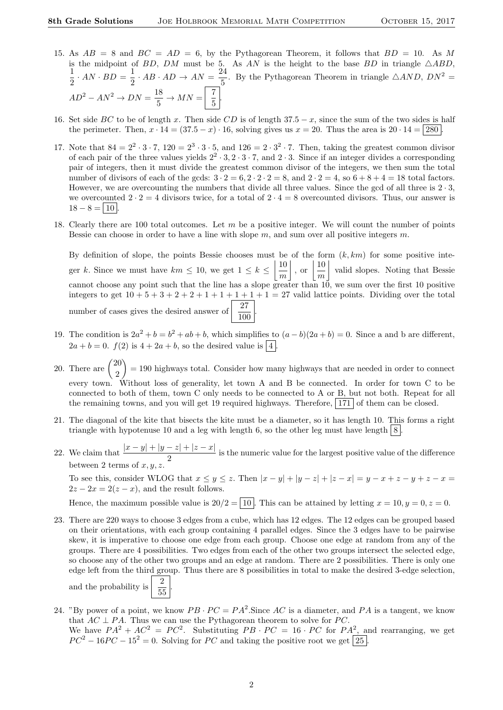- 15. As  $AB = 8$  and  $BC = AD = 6$ , by the Pythagorean Theorem, it follows that  $BD = 10$ . As M is the midpoint of BD, DM must be 5. As AN is the height to the base BD in triangle  $\triangle ABD$ , 1  $\frac{1}{2} \cdot AN \cdot BD = \frac{1}{2}$  $rac{1}{2} \cdot AB \cdot AD \rightarrow AN = \frac{24}{5}$  $\frac{24}{5}$ . By the Pythagorean Theorem in triangle  $\triangle AND$ ,  $DN^2 =$  $AD^2 - AN^2 \rightarrow DN = \frac{18}{5}$  $rac{18}{5}$   $\rightarrow$   $MN = \begin{bmatrix} 7 \\ 5 \end{bmatrix}$  $\frac{1}{5}$
- 16. Set side BC to be of length x. Then side CD is of length  $37.5 x$ , since the sum of the two sides is half the perimeter. Then,  $x \cdot 14 = (37.5 - x) \cdot 16$ , solving gives us  $x = 20$ . Thus the area is  $20 \cdot 14 = |280|$ .
- 17. Note that  $84 = 2^2 \cdot 3 \cdot 7$ ,  $120 = 2^3 \cdot 3 \cdot 5$ , and  $126 = 2 \cdot 3^2 \cdot 7$ . Then, taking the greatest common divisor of each pair of the three values yields  $2^2 \cdot 3$ ,  $2 \cdot 3 \cdot 7$ , and  $2 \cdot 3$ . Since if an integer divides a corresponding pair of integers, then it must divide the greatest common divisor of the integers, we then sum the total number of divisors of each of the gcds:  $3 \cdot 2 = 6, 2 \cdot 2 \cdot 2 = 8$ , and  $2 \cdot 2 = 4$ , so  $6 + 8 + 4 = 18$  total factors. However, we are overcounting the numbers that divide all three values. Since the gcd of all three is  $2 \cdot 3$ , we overcounted  $2 \cdot 2 = 4$  divisors twice, for a total of  $2 \cdot 4 = 8$  overcounted divisors. Thus, our answer is  $18 - 8 = 10$
- 18. Clearly there are 100 total outcomes. Let  $m$  be a positive integer. We will count the number of points Bessie can choose in order to have a line with slope  $m$ , and sum over all positive integers  $m$ .

By definition of slope, the points Bessie chooses must be of the form  $(k, km)$  for some positive integer k. Since we must have  $km \leq 10$ , we get  $1 \leq k \leq \left\lfloor \frac{10}{2} \right\rfloor$ m  $\Big\vert$ , or  $\Big\vert \frac{10}{\cdot}$ m valid slopes. Noting that Bessie cannot choose any point such that the line has a slope greater than 10, we sum over the first 10 positive integers to get  $10 + 5 + 3 + 2 + 2 + 1 + 1 + 1 + 1 + 1 = 27$  valid lattice points. Dividing over the total number of cases gives the desired answer of  $\frac{27}{100}$ .

- 19. The condition is  $2a^2 + b = b^2 + ab + b$ , which simplifies to  $(a b)(2a + b) = 0$ . Since a and b are different,  $2a + b = 0$ .  $f(2)$  is  $4 + 2a + b$ , so the desired value is  $\boxed{4}$ .
- 20. There are  $\binom{20}{3}$ 2  $= 190$  highways total. Consider how many highways that are needed in order to connect every town. Without loss of generality, let town A and B be connected. In order for town C to be connected to both of them, town C only needs to be connected to A or B, but not both. Repeat for all the remaining towns, and you will get 19 required highways. Therefore,  $\boxed{171}$  of them can be closed.
- 21. The diagonal of the kite that bisects the kite must be a diameter, so it has length 10. This forms a right triangle with hypotenuse 10 and a leg with length 6, so the other leg must have length  $8$ .
- 22. We claim that  $\frac{|x-y|+|y-z|+|z-x|}{2}$  is the numeric value for the largest positive value of the difference between 2 terms of  $x$ ,

To see this, consider WLOG that  $x \le y \le z$ . Then  $|x - y| + |y - z| + |z - x| = y - x + z - y + z - x =$  $2z - 2x = 2(z - x)$ , and the result follows.

Hence, the maximum possible value is  $20/2 = 10$ . This can be attained by letting  $x = 10, y = 0, z = 0$ .

23. There are 220 ways to choose 3 edges from a cube, which has 12 edges. The 12 edges can be grouped based on their orientations, with each group containing 4 parallel edges. Since the 3 edges have to be pairwise skew, it is imperative to choose one edge from each group. Choose one edge at random from any of the groups. There are 4 possibilities. Two edges from each of the other two groups intersect the selected edge, so choose any of the other two groups and an edge at random. There are 2 possibilities. There is only one edge left from the third group. Thus there are 8 possibilities in total to make the desired 3-edge selection,

and the probability is  $\frac{2}{55}$ .

- 24. "By power of a point, we know  $PB \cdot PC = PA^2$ . Since AC is a diameter, and PA is a tangent, we know that  $AC \perp PA$ . Thus we can use the Pythagorean theorem to solve for PC. We have  $PA^2 + AC^2 = PC^2$ . Substituting  $PB \cdot PC = 16 \cdot PC$  for  $PA^2$ , and rearranging, we get
	- $PC^{2} 16PC 15^{2} = 0$ . Solving for PC and taking the positive root we get [25].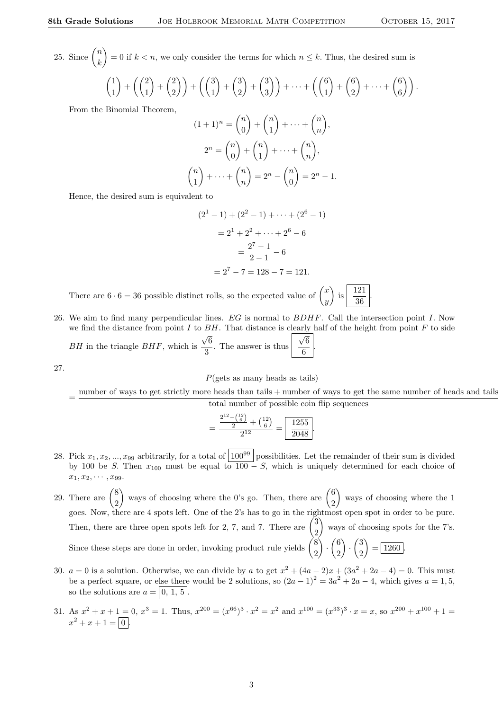.

25. Since  $\binom{n}{k}$ k = 0 if  $k < n$ , we only consider the terms for which  $n \leq k$ . Thus, the desired sum is

$$
\binom{1}{1} + \left(\binom{2}{1} + \binom{2}{2}\right) + \left(\binom{3}{1} + \binom{3}{2} + \binom{3}{3}\right) + \dots + \left(\binom{6}{1} + \binom{6}{2} + \dots + \binom{6}{6}\right).
$$

From the Binomial Theorem,

$$
(1+1)^n = \binom{n}{0} + \binom{n}{1} + \dots + \binom{n}{n},
$$
  
\n
$$
2^n = \binom{n}{0} + \binom{n}{1} + \dots + \binom{n}{n},
$$
  
\n
$$
\binom{n}{1} + \dots + \binom{n}{n} = 2^n - \binom{n}{0} = 2^n - 1.
$$

Hence, the desired sum is equivalent to

$$
(21 - 1) + (22 - 1) + \dots + (26 - 1)
$$

$$
= 21 + 22 + \dots + 26 - 6
$$

$$
= \frac{27 - 1}{2 - 1} - 6
$$

$$
= 27 - 7 = 128 - 7 = 121.
$$

There are  $6 \cdot 6 = 36$  possible distinct rolls, so the expected value of  $\begin{pmatrix} x \\ y \end{pmatrix}$  $\hat{y}$  is 121 36

26. We aim to find many perpendicular lines.  $EG$  is normal to  $BDHF$ . Call the intersection point  $I$ . Now we find the distance from point  $I$  to  $BH$ . That distance is clearly half of the height from point  $F$  to side  $BH$  in the triangle  $BHF$ , which is √ 6  $\frac{1}{3}$ . The answer is thus √ 6 6 .

27.

 $P(\text{gets as many heads as tails})$ 

= number of ways to get strictly more heads than tails + number of ways to get the same number of heads and tails total number of possible coin flip sequences

$$
=\frac{\frac{2^{12} - \binom{12}{6}}{2} + \binom{12}{6}}{2^{12}} = \boxed{\frac{1255}{2048}}.
$$

- 28. Pick  $x_1, x_2, ..., x_{99}$  arbitrarily, for a total of  $100^{99}$  possibilities. Let the remainder of their sum is divided by 100 be S. Then  $x_{100}$  must be equal to  $100-S$ , which is uniquely determined for each choice of  $x_1, x_2, \cdots, x_{99}.$
- 29. There are  $\binom{8}{3}$ 2 ways of choosing where the 0's go. Then, there are  $\binom{6}{3}$ 2 ways of choosing where the 1 goes. Now, there are 4 spots left. One of the 2's has to go in the rightmost open spot in order to be pure. Then, there are three open spots left for 2, 7, and 7. There are  $\begin{pmatrix} 3 \\ 3 \end{pmatrix}$ 2 ways of choosing spots for the 7's. Since these steps are done in order, invoking product rule yields  $\binom{8}{3}$ 2  $\bigg) \cdot \bigg( \frac{6}{5} \bigg)$ 2  $\bigg) \cdot \bigg( \frac{3}{2} \bigg)$ 2  $= 1260.$
- 30.  $a = 0$  is a solution. Otherwise, we can divide by a to get  $x^2 + (4a 2)x + (3a^2 + 2a 4) = 0$ . This must be a perfect square, or else there would be 2 solutions, so  $(2a - 1)^2 = 3a^2 + 2a - 4$ , which gives  $a = 1, 5$ , so the solutions are  $a = |0, 1, 5|$ .
- 31. As  $x^2 + x + 1 = 0$ ,  $x^3 = 1$ . Thus,  $x^{200} = (x^{66})^3 \cdot x^2 = x^2$  and  $x^{100} = (x^{33})^3 \cdot x = x$ , so  $x^{200} + x^{100} + 1 = 0$  $x^2 + x + 1 = \boxed{0}$ .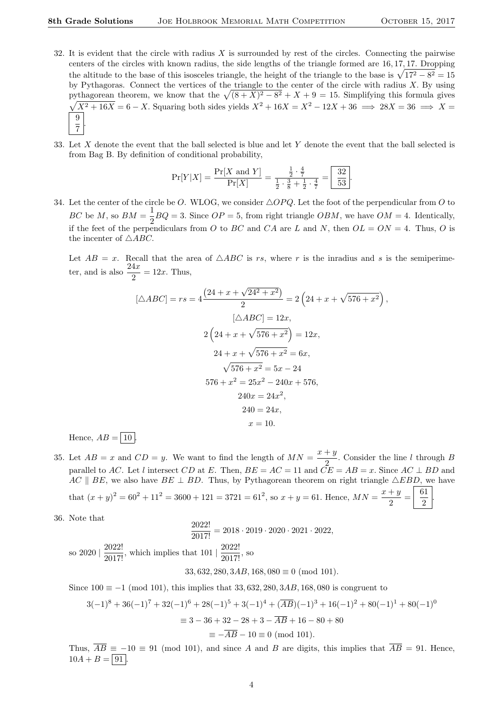,

- 32. It is evident that the circle with radius X is surrounded by rest of the circles. Connecting the pairwise centers of the circles with known radius, the side lengths of the triangle formed are 16, 17, 17. Dropping the altitude to the base of this isosceles triangle, the height of the triangle to the base is  $\sqrt{17^2 - 8^2} = 15$ by Pythagoras. Connect the vertices of the triangle to the center of the circle with radius  $X$ . By using pythagorean theorem, we know that the  $\sqrt{(8 + X)^2 - 8^2} + X + 9 = 15$ . Simplifying this formula gives  $\sqrt{X^2+16X} = 6-X$ . Squaring both sides yields  $X^2+16X = X^2-12X+36 \implies 28X = 36 \implies X = 36$ 9  $\overline{7}$ .
- 33. Let X denote the event that the ball selected is blue and let Y denote the event that the ball selected is from Bag B. By definition of conditional probability,

$$
\Pr[Y|X] = \frac{\Pr[X \text{ and } Y]}{\Pr[X]} = \frac{\frac{1}{2} \cdot \frac{4}{7}}{\frac{1}{2} \cdot \frac{3}{8} + \frac{1}{2} \cdot \frac{4}{7}} = \boxed{\frac{32}{53}}.
$$

34. Let the center of the circle be O. WLOG, we consider  $\triangle OPQ$ . Let the foot of the perpendicular from O to BC be M, so  $BM = \frac{1}{2}$  $\frac{1}{2}BQ = 3$ . Since  $OP = 5$ , from right triangle  $OBM$ , we have  $OM = 4$ . Identically, if the feet of the perpendiculars from O to BC and CA are L and N, then  $OL = ON = 4$ . Thus, O is the incenter of  $\wedge$  ABC.

Let  $AB = x$ . Recall that the area of  $\triangle ABC$  is rs, where r is the inradius and s is the semiperimeter, and is also  $\frac{24x}{2} = 12x$ . Thus,

$$
[\triangle ABC] = rs = 4 \frac{(24 + x + \sqrt{24^2 + x^2})}{2} = 2 \left(24 + x + \sqrt{576 + x^2}\right)
$$

$$
[\triangle ABC] = 12x,
$$

$$
2 \left(24 + x + \sqrt{576 + x^2}\right) = 12x,
$$

$$
24 + x + \sqrt{576 + x^2} = 6x,
$$

$$
\sqrt{576 + x^2} = 5x - 24
$$

$$
576 + x^2 = 25x^2 - 240x + 576,
$$

$$
240x = 24x^2,
$$

$$
240 = 24x,
$$

$$
x = 10.
$$

Hence,  $AB = \boxed{10}$ .

- 35. Let  $AB = x$  and  $CD = y$ . We want to find the length of  $MN = \frac{x+y}{2}$  $\frac{1}{2}$ . Consider the line l through B parallel to AC. Let l intersect CD at E. Then,  $BE = AC = 11$  and  $\tilde{CE} = AB = x$ . Since  $AC \perp BD$  and AC  $\parallel$  BE, we also have BE  $\perp$  BD. Thus, by Pythagorean theorem on right triangle  $\triangle EBD$ , we have that  $(x+y)^2 = 60^2 + 11^2 = 3600 + 121 = 3721 = 61^2$ , so  $x+y=61$ . Hence,  $MN = \frac{x+y}{2}$  $\frac{+y}{2} = \frac{61}{2}$ 2 .
- 36. Note that

$$
\frac{2022!}{2017!} = 2018 \cdot 2019 \cdot 2020 \cdot 2021 \cdot 2022,
$$
so 2020 |  $\frac{2022!}{2017!}$ , which implies that 101 |  $\frac{2022!}{2017!}$ , so

 $33,632,280,3AB,168,080 \equiv 0 \pmod{101}$ .

Since  $100 \equiv -1 \pmod{101}$ , this implies that 33, 632, 280, 3AB, 168, 080 is congruent to

$$
3(-1)^8 + 36(-1)^7 + 32(-1)^6 + 28(-1)^5 + 3(-1)^4 + (\overline{AB})(-1)^3 + 16(-1)^2 + 80(-1)^1 + 80(-1)^0
$$
  
\n
$$
\equiv 3 - 36 + 32 - 28 + 3 - \overline{AB} + 16 - 80 + 80
$$
  
\n
$$
\equiv -\overline{AB} - 10 \equiv 0 \pmod{101}.
$$

Thus,  $\overline{AB} \equiv -10 \equiv 91 \pmod{101}$ , and since A and B are digits, this implies that  $\overline{AB} = 91$ . Hence,  $10A + B = \boxed{91}$ .